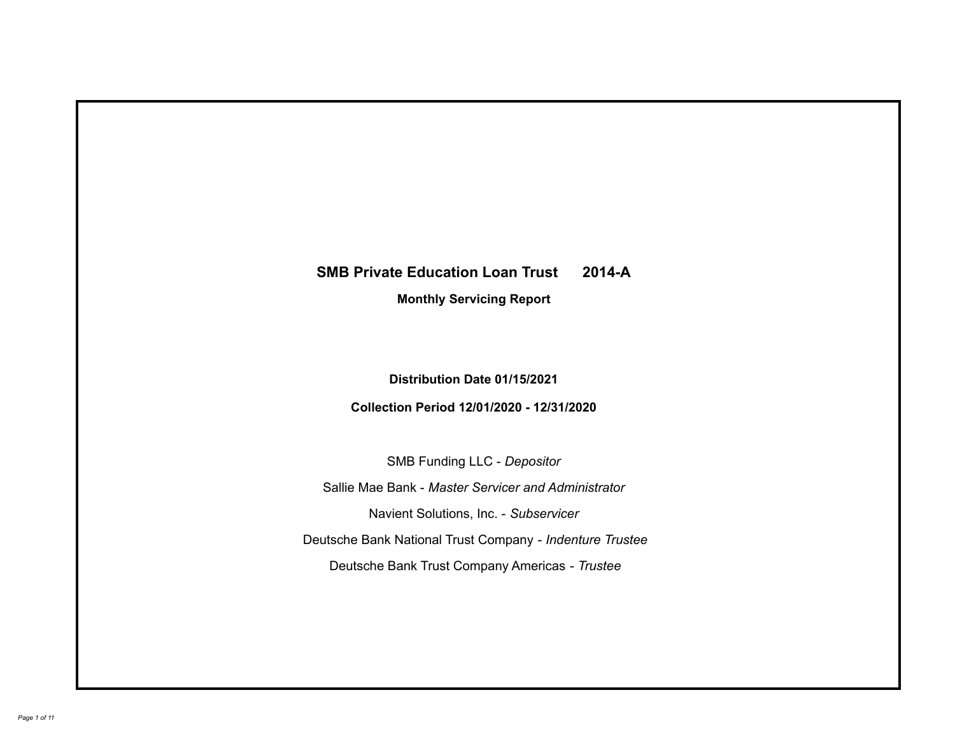# **SMB Private Education Loan Trust 2014-A Monthly Servicing Report**

# **Distribution Date 01/15/2021**

# **Collection Period 12/01/2020 - 12/31/2020**

SMB Funding LLC - *Depositor*

Sallie Mae Bank - *Master Servicer and Administrator*

Navient Solutions, Inc. - *Subservicer*

Deutsche Bank National Trust Company - *Indenture Trustee*

Deutsche Bank Trust Company Americas - *Trustee*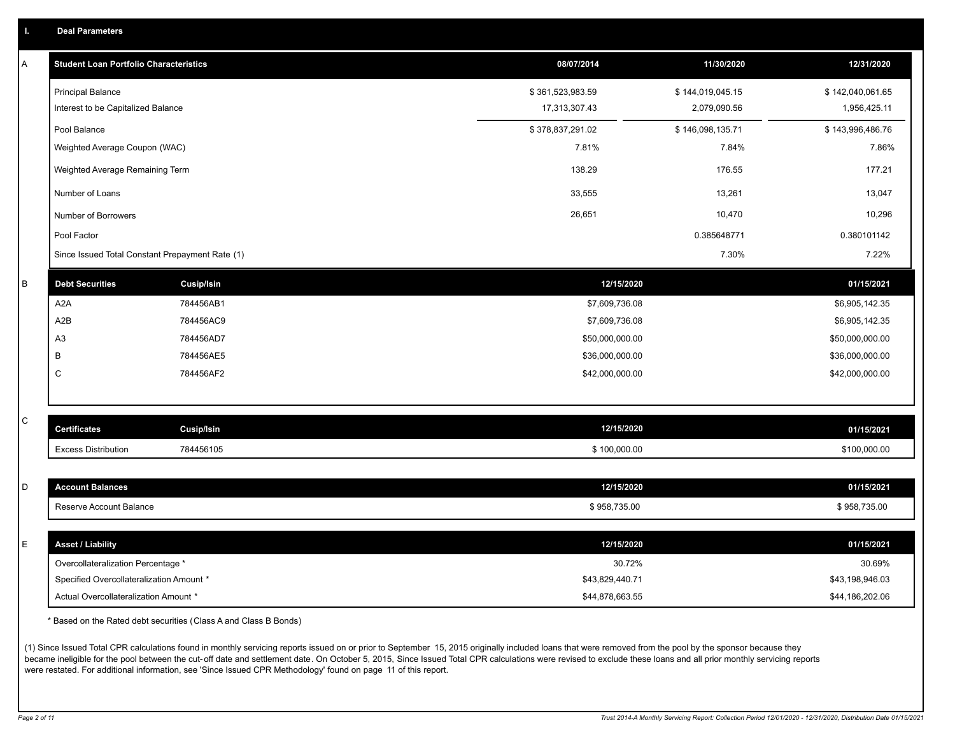| <b>Deal Parameters</b> |
|------------------------|
|------------------------|

| A           | <b>Student Loan Portfolio Characteristics</b>   |                   | 08/07/2014       | 11/30/2020       | 12/31/2020       |
|-------------|-------------------------------------------------|-------------------|------------------|------------------|------------------|
|             | <b>Principal Balance</b>                        |                   | \$361,523,983.59 | \$144,019,045.15 | \$142,040,061.65 |
|             | Interest to be Capitalized Balance              |                   | 17,313,307.43    | 2,079,090.56     | 1,956,425.11     |
|             | Pool Balance                                    |                   | \$378,837,291.02 | \$146,098,135.71 | \$143,996,486.76 |
|             | Weighted Average Coupon (WAC)                   |                   | 7.81%            | 7.84%            | 7.86%            |
|             | Weighted Average Remaining Term                 |                   | 138.29           | 176.55           | 177.21           |
|             | Number of Loans                                 |                   | 33,555           | 13,261           | 13,047           |
|             | Number of Borrowers                             |                   | 26,651           | 10,470           | 10,296           |
|             | Pool Factor                                     |                   |                  | 0.385648771      | 0.380101142      |
|             | Since Issued Total Constant Prepayment Rate (1) |                   |                  | 7.30%            | 7.22%            |
| $\sf B$     | <b>Debt Securities</b>                          | <b>Cusip/Isin</b> | 12/15/2020       |                  | 01/15/2021       |
|             | A <sub>2</sub> A                                | 784456AB1         | \$7,609,736.08   |                  | \$6,905,142.35   |
|             | A <sub>2</sub> B                                | 784456AC9         | \$7,609,736.08   |                  | \$6,905,142.35   |
|             | A <sub>3</sub>                                  | 784456AD7         | \$50,000,000.00  |                  | \$50,000,000.00  |
|             | В                                               | 784456AE5         | \$36,000,000.00  |                  | \$36,000,000.00  |
|             | C                                               | 784456AF2         | \$42,000,000.00  |                  | \$42,000,000.00  |
|             |                                                 |                   |                  |                  |                  |
| C           | <b>Certificates</b>                             | <b>Cusip/Isin</b> | 12/15/2020       |                  | 01/15/2021       |
|             | <b>Excess Distribution</b>                      | 784456105         | \$100,000.00     |                  | \$100,000.00     |
|             |                                                 |                   |                  |                  |                  |
| D           | <b>Account Balances</b>                         |                   | 12/15/2020       |                  | 01/15/2021       |
|             | Reserve Account Balance                         |                   | \$958,735.00     |                  | \$958,735.00     |
|             |                                                 |                   |                  |                  |                  |
| $\mathsf E$ | <b>Asset / Liability</b>                        |                   | 12/15/2020       |                  | 01/15/2021       |
|             | Overcollateralization Percentage *              |                   | 30.72%           |                  | 30.69%           |
|             | Specified Overcollateralization Amount *        |                   | \$43,829,440.71  |                  | \$43,198,946.03  |
|             | Actual Overcollateralization Amount *           |                   | \$44.878.663.55  |                  | \$44,186,202.06  |

\* Based on the Rated debt securities (Class A and Class B Bonds)

(1) Since Issued Total CPR calculations found in monthly servicing reports issued on or prior to September 15, 2015 originally included loans that were removed from the pool by the sponsor because they became ineligible for the pool between the cut-off date and settlement date. On October 5, 2015, Since Issued Total CPR calculations were revised to exclude these loans and all prior monthly servicing reports were restated. For additional information, see 'Since Issued CPR Methodology' found on page 11 of this report.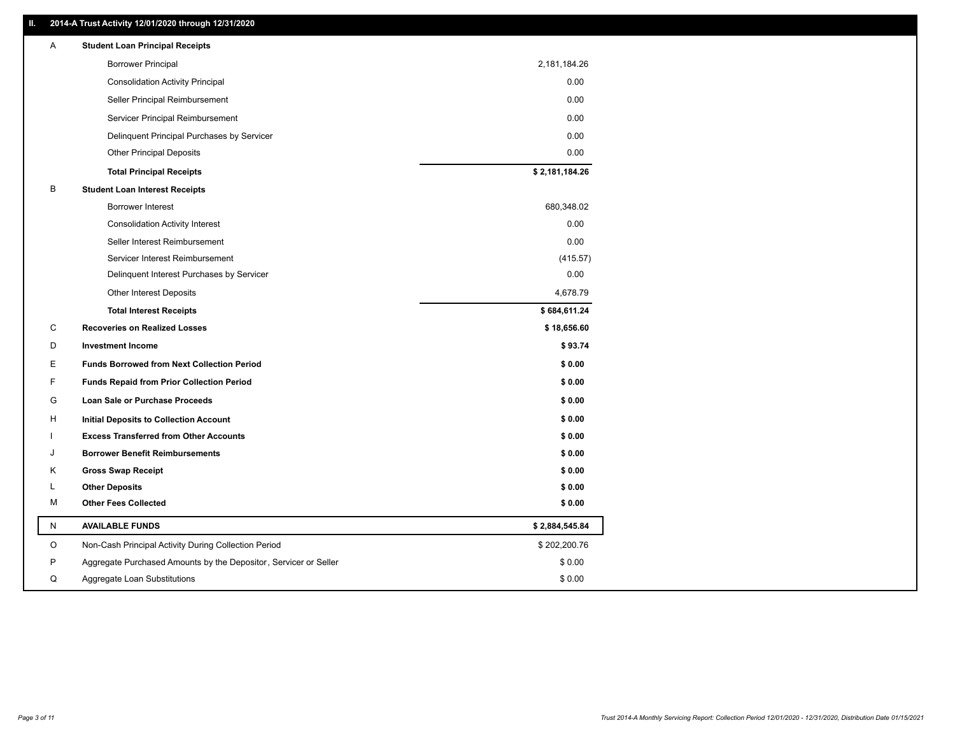### **II. 2014-A Trust Activity 12/01/2020 through 12/31/2020**

| A | <b>Student Loan Principal Receipts</b>                           |                |  |
|---|------------------------------------------------------------------|----------------|--|
|   | <b>Borrower Principal</b>                                        | 2,181,184.26   |  |
|   | <b>Consolidation Activity Principal</b>                          | 0.00           |  |
|   | Seller Principal Reimbursement                                   | 0.00           |  |
|   | Servicer Principal Reimbursement                                 | 0.00           |  |
|   | Delinquent Principal Purchases by Servicer                       | 0.00           |  |
|   | <b>Other Principal Deposits</b>                                  | 0.00           |  |
|   | <b>Total Principal Receipts</b>                                  | \$2,181,184.26 |  |
| B | <b>Student Loan Interest Receipts</b>                            |                |  |
|   | <b>Borrower Interest</b>                                         | 680,348.02     |  |
|   | <b>Consolidation Activity Interest</b>                           | 0.00           |  |
|   | Seller Interest Reimbursement                                    | 0.00           |  |
|   | Servicer Interest Reimbursement                                  | (415.57)       |  |
|   | Delinquent Interest Purchases by Servicer                        | 0.00           |  |
|   | Other Interest Deposits                                          | 4,678.79       |  |
|   | <b>Total Interest Receipts</b>                                   | \$684,611.24   |  |
| С | <b>Recoveries on Realized Losses</b>                             | \$18,656.60    |  |
| D | <b>Investment Income</b>                                         | \$93.74        |  |
| E | <b>Funds Borrowed from Next Collection Period</b>                | \$0.00         |  |
| F | <b>Funds Repaid from Prior Collection Period</b>                 | \$0.00         |  |
| G | Loan Sale or Purchase Proceeds                                   | \$0.00         |  |
| н | Initial Deposits to Collection Account                           | \$0.00         |  |
|   | <b>Excess Transferred from Other Accounts</b>                    | \$0.00         |  |
| J | <b>Borrower Benefit Reimbursements</b>                           | \$0.00         |  |
| Κ | <b>Gross Swap Receipt</b>                                        | \$0.00         |  |
| L | <b>Other Deposits</b>                                            | \$0.00         |  |
| М | <b>Other Fees Collected</b>                                      | \$0.00         |  |
| N | <b>AVAILABLE FUNDS</b>                                           | \$2,884,545.84 |  |
| O | Non-Cash Principal Activity During Collection Period             | \$202,200.76   |  |
| P | Aggregate Purchased Amounts by the Depositor, Servicer or Seller | \$0.00         |  |
| Q |                                                                  |                |  |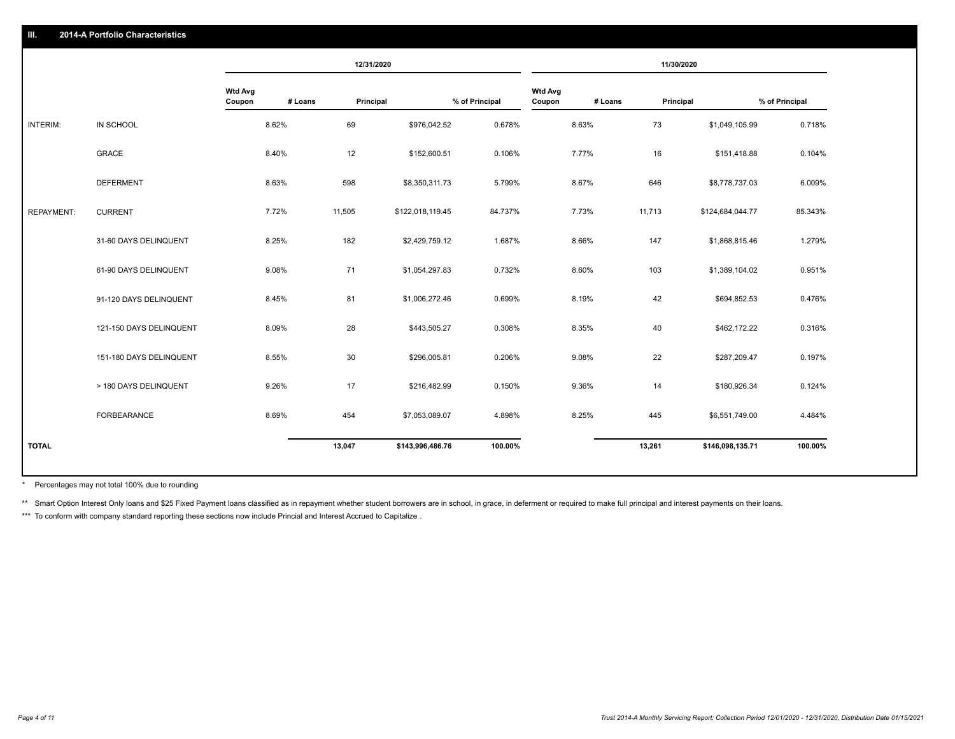|                   |                         |                          |         | 12/31/2020 |                  |                |                          |         | 11/30/2020 |                  |                |
|-------------------|-------------------------|--------------------------|---------|------------|------------------|----------------|--------------------------|---------|------------|------------------|----------------|
|                   |                         | <b>Wtd Avg</b><br>Coupon | # Loans | Principal  |                  | % of Principal | <b>Wtd Avg</b><br>Coupon | # Loans | Principal  |                  | % of Principal |
| INTERIM:          | IN SCHOOL               |                          | 8.62%   | 69         | \$976,042.52     | 0.678%         |                          | 8.63%   | 73         | \$1,049,105.99   | 0.718%         |
|                   | GRACE                   |                          | 8.40%   | 12         | \$152,600.51     | 0.106%         |                          | 7.77%   | 16         | \$151,418.88     | 0.104%         |
|                   | <b>DEFERMENT</b>        |                          | 8.63%   | 598        | \$8,350,311.73   | 5.799%         |                          | 8.67%   | 646        | \$8,778,737.03   | 6.009%         |
| <b>REPAYMENT:</b> | <b>CURRENT</b>          |                          | 7.72%   | 11,505     | \$122,018,119.45 | 84.737%        |                          | 7.73%   | 11,713     | \$124,684,044.77 | 85.343%        |
|                   | 31-60 DAYS DELINQUENT   |                          | 8.25%   | 182        | \$2,429,759.12   | 1.687%         |                          | 8.66%   | 147        | \$1,868,815.46   | 1.279%         |
|                   | 61-90 DAYS DELINQUENT   |                          | 9.08%   | 71         | \$1,054,297.83   | 0.732%         |                          | 8.60%   | 103        | \$1,389,104.02   | 0.951%         |
|                   | 91-120 DAYS DELINQUENT  |                          | 8.45%   | 81         | \$1,006,272.46   | 0.699%         |                          | 8.19%   | 42         | \$694,852.53     | 0.476%         |
|                   | 121-150 DAYS DELINQUENT |                          | 8.09%   | 28         | \$443,505.27     | 0.308%         |                          | 8.35%   | 40         | \$462,172.22     | 0.316%         |
|                   | 151-180 DAYS DELINQUENT |                          | 8.55%   | 30         | \$296,005.81     | 0.206%         |                          | 9.08%   | 22         | \$287,209.47     | 0.197%         |
|                   | > 180 DAYS DELINQUENT   |                          | 9.26%   | 17         | \$216,482.99     | 0.150%         |                          | 9.36%   | 14         | \$180,926.34     | 0.124%         |
|                   | <b>FORBEARANCE</b>      |                          | 8.69%   | 454        | \$7,053,089.07   | 4.898%         |                          | 8.25%   | 445        | \$6,551,749.00   | 4.484%         |
| <b>TOTAL</b>      |                         |                          |         | 13,047     | \$143,996,486.76 | 100.00%        |                          |         | 13,261     | \$146,098,135.71 | 100.00%        |
|                   |                         |                          |         |            |                  |                |                          |         |            |                  |                |

Percentages may not total 100% due to rounding \*

\*\* Smart Option Interest Only loans and \$25 Fixed Payment loans classified as in repayment whether student borrowers are in school, in grace, in deferment or required to make full principal and interest payments on their l

\*\*\* To conform with company standard reporting these sections now include Princial and Interest Accrued to Capitalize.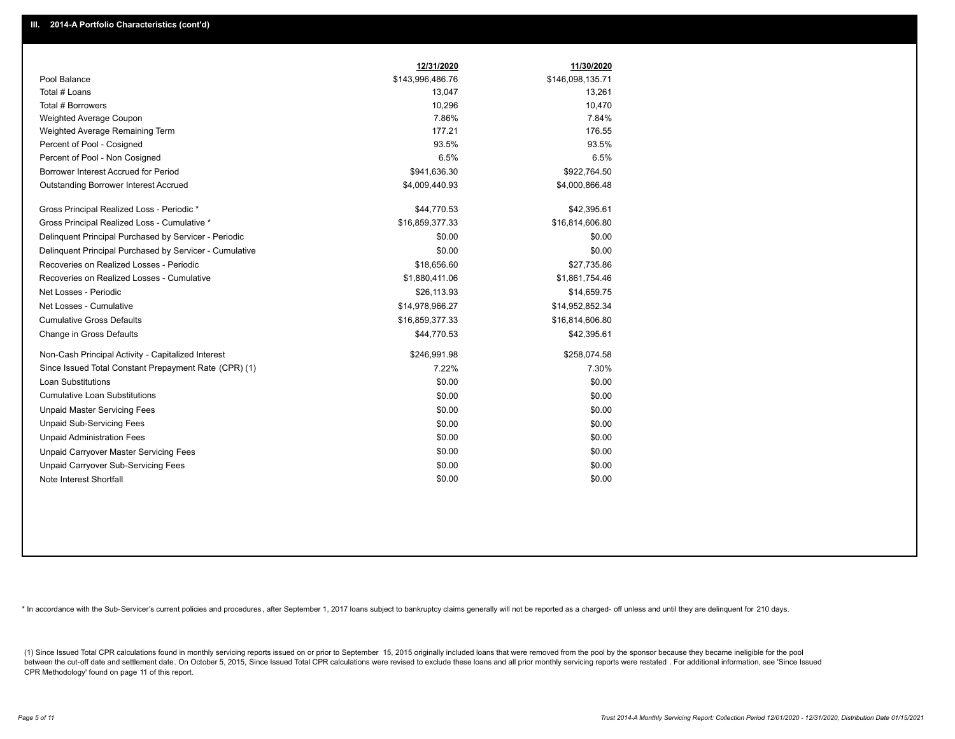|                                                         | 12/31/2020       | 11/30/2020       |
|---------------------------------------------------------|------------------|------------------|
| Pool Balance                                            | \$143,996,486.76 | \$146,098,135.71 |
| Total # Loans                                           | 13,047           | 13,261           |
| Total # Borrowers                                       | 10,296           | 10,470           |
| Weighted Average Coupon                                 | 7.86%            | 7.84%            |
| Weighted Average Remaining Term                         | 177.21           | 176.55           |
| Percent of Pool - Cosigned                              | 93.5%            | 93.5%            |
| Percent of Pool - Non Cosigned                          | 6.5%             | 6.5%             |
| Borrower Interest Accrued for Period                    | \$941,636.30     | \$922,764.50     |
| Outstanding Borrower Interest Accrued                   | \$4,009,440.93   | \$4,000,866.48   |
| Gross Principal Realized Loss - Periodic *              | \$44,770.53      | \$42,395.61      |
| Gross Principal Realized Loss - Cumulative *            | \$16,859,377.33  | \$16,814,606.80  |
| Delinguent Principal Purchased by Servicer - Periodic   | \$0.00           | \$0.00           |
| Delinquent Principal Purchased by Servicer - Cumulative | \$0.00           | \$0.00           |
| Recoveries on Realized Losses - Periodic                | \$18,656.60      | \$27,735.86      |
| Recoveries on Realized Losses - Cumulative              | \$1,880,411.06   | \$1,861,754.46   |
| Net Losses - Periodic                                   | \$26,113.93      | \$14,659.75      |
| Net Losses - Cumulative                                 | \$14,978,966.27  | \$14,952,852.34  |
| <b>Cumulative Gross Defaults</b>                        | \$16,859,377.33  | \$16,814,606.80  |
| Change in Gross Defaults                                | \$44,770.53      | \$42,395.61      |
| Non-Cash Principal Activity - Capitalized Interest      | \$246,991.98     | \$258,074.58     |
| Since Issued Total Constant Prepayment Rate (CPR) (1)   | 7.22%            | 7.30%            |
| Loan Substitutions                                      | \$0.00           | \$0.00           |
| <b>Cumulative Loan Substitutions</b>                    | \$0.00           | \$0.00           |
| <b>Unpaid Master Servicing Fees</b>                     | \$0.00           | \$0.00           |
| <b>Unpaid Sub-Servicing Fees</b>                        | \$0.00           | \$0.00           |
| <b>Unpaid Administration Fees</b>                       | \$0.00           | \$0.00           |
| Unpaid Carryover Master Servicing Fees                  | \$0.00           | \$0.00           |
| Unpaid Carryover Sub-Servicing Fees                     | \$0.00           | \$0.00           |
| Note Interest Shortfall                                 | \$0.00           | \$0.00           |

\* In accordance with the Sub-Servicer's current policies and procedures, after September 1, 2017 loans subject to bankruptcy claims generally will not be reported as a charged- off unless and until they are delinquent for

(1) Since Issued Total CPR calculations found in monthly servicing reports issued on or prior to September 15, 2015 originally included loans that were removed from the pool by the sponsor because they became ineligible fo between the cut-off date and settlement date. On October 5, 2015, Since Issued Total CPR calculations were revised to exclude these loans and all prior monthly servicing reports were restated. For additional information, s CPR Methodology' found on page 11 of this report.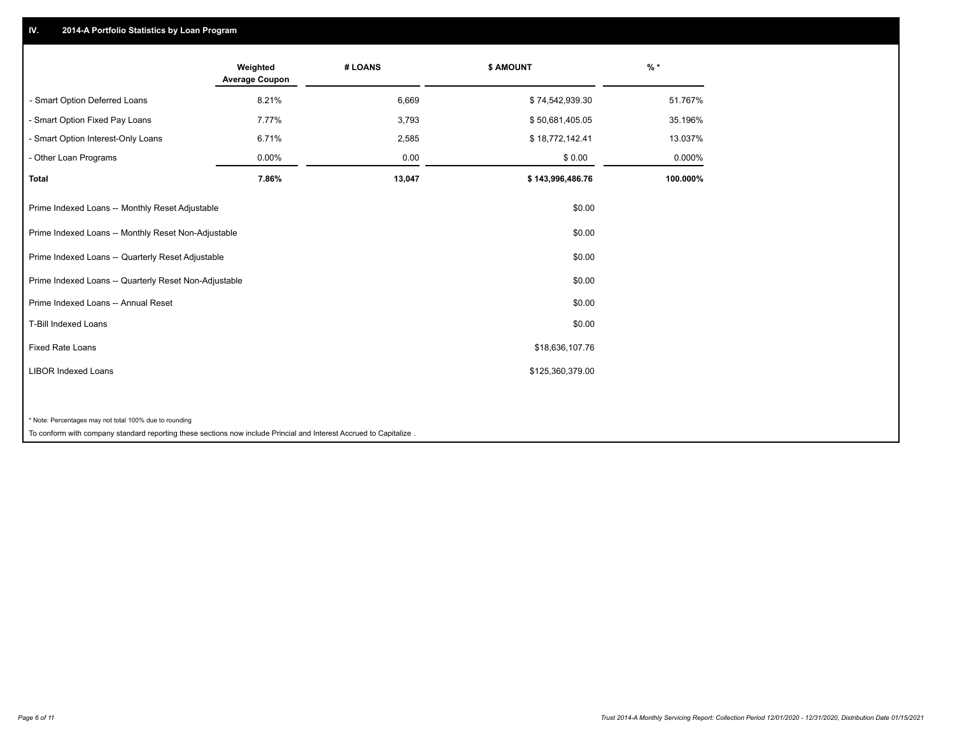## **IV. 2014-A Portfolio Statistics by Loan Program**

|                                                        | Weighted<br><b>Average Coupon</b> | # LOANS | <b>\$ AMOUNT</b> | $%$ *    |
|--------------------------------------------------------|-----------------------------------|---------|------------------|----------|
| - Smart Option Deferred Loans                          | 8.21%                             | 6,669   | \$74,542,939.30  | 51.767%  |
| - Smart Option Fixed Pay Loans                         | 7.77%                             | 3,793   | \$50,681,405.05  | 35.196%  |
| - Smart Option Interest-Only Loans                     | 6.71%                             | 2,585   | \$18,772,142.41  | 13.037%  |
| - Other Loan Programs                                  | 0.00%                             | 0.00    | \$0.00           | 0.000%   |
| Total                                                  | 7.86%                             | 13,047  | \$143,996,486.76 | 100.000% |
| Prime Indexed Loans -- Monthly Reset Adjustable        |                                   |         | \$0.00           |          |
| Prime Indexed Loans -- Monthly Reset Non-Adjustable    |                                   |         | \$0.00           |          |
| Prime Indexed Loans -- Quarterly Reset Adjustable      |                                   |         | \$0.00           |          |
| Prime Indexed Loans -- Quarterly Reset Non-Adjustable  |                                   |         | \$0.00           |          |
| Prime Indexed Loans -- Annual Reset                    |                                   |         | \$0.00           |          |
| <b>T-Bill Indexed Loans</b>                            |                                   |         | \$0.00           |          |
| <b>Fixed Rate Loans</b>                                |                                   |         | \$18,636,107.76  |          |
| <b>LIBOR Indexed Loans</b>                             |                                   |         | \$125,360,379.00 |          |
|                                                        |                                   |         |                  |          |
| * Note: Percentages may not total 100% due to rounding |                                   |         |                  |          |

To conform with company standard reporting these sections now include Princial and Interest Accrued to Capitalize .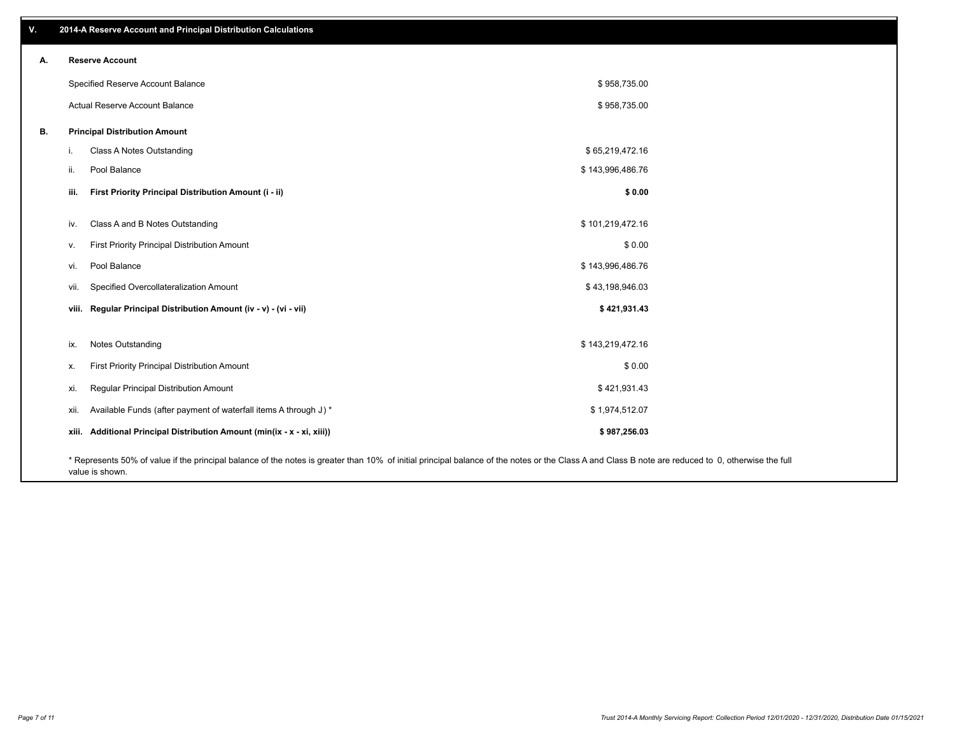| V. | 2014-A Reserve Account and Principal Distribution Calculations                                                                                                                                     |                  |  |
|----|----------------------------------------------------------------------------------------------------------------------------------------------------------------------------------------------------|------------------|--|
| А. | <b>Reserve Account</b>                                                                                                                                                                             |                  |  |
|    | Specified Reserve Account Balance                                                                                                                                                                  | \$958,735.00     |  |
|    | Actual Reserve Account Balance                                                                                                                                                                     | \$958,735.00     |  |
| В. | <b>Principal Distribution Amount</b>                                                                                                                                                               |                  |  |
|    | Class A Notes Outstanding<br>j.                                                                                                                                                                    | \$65,219,472.16  |  |
|    | Pool Balance<br>ii.                                                                                                                                                                                | \$143,996,486.76 |  |
|    | First Priority Principal Distribution Amount (i - ii)<br>iii.                                                                                                                                      | \$0.00           |  |
|    | Class A and B Notes Outstanding<br>iv.                                                                                                                                                             | \$101,219,472.16 |  |
|    | First Priority Principal Distribution Amount<br>V.                                                                                                                                                 | \$0.00           |  |
|    | Pool Balance<br>vi.                                                                                                                                                                                | \$143,996,486.76 |  |
|    | Specified Overcollateralization Amount<br>vii.                                                                                                                                                     | \$43,198,946.03  |  |
|    | viii. Regular Principal Distribution Amount (iv - v) - (vi - vii)                                                                                                                                  | \$421,931.43     |  |
|    | Notes Outstanding<br>ix.                                                                                                                                                                           | \$143,219,472.16 |  |
|    | First Priority Principal Distribution Amount                                                                                                                                                       | \$0.00           |  |
|    | Х.                                                                                                                                                                                                 |                  |  |
|    | Regular Principal Distribution Amount<br>xi.                                                                                                                                                       | \$421,931.43     |  |
|    | Available Funds (after payment of waterfall items A through J) *<br>xii.                                                                                                                           | \$1,974,512.07   |  |
|    | xiii. Additional Principal Distribution Amount (min(ix - x - xi, xiii))                                                                                                                            | \$987,256.03     |  |
|    | * Represents 50% of value if the principal balance of the notes is greater than 10% of initial principal balance of the notes or the Class A and Class B note are reduced to 0, otherwise the full |                  |  |

value is shown.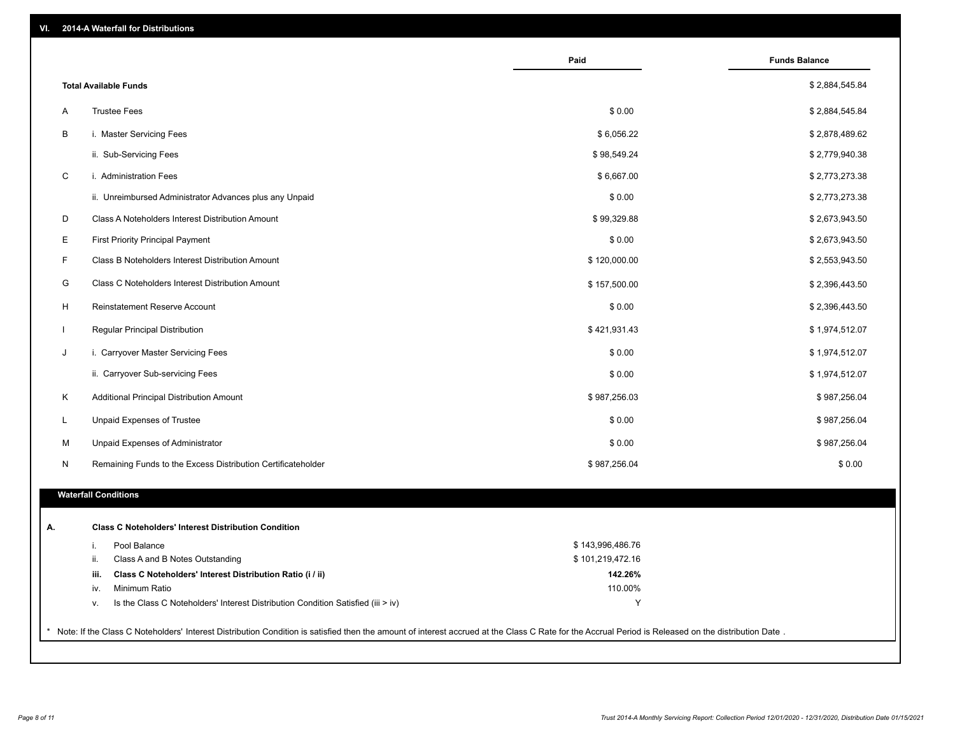| \$2,884,545.84<br><b>Total Available Funds</b><br><b>Trustee Fees</b><br>\$0.00<br>Α<br>\$2,884,545.84<br>B<br>i. Master Servicing Fees<br>\$6,056.22<br>\$2,878,489.62<br>ii. Sub-Servicing Fees<br>\$98,549.24<br>\$2,779,940.38<br>$\mathsf C$<br>i. Administration Fees<br>\$6,667.00<br>\$2,773,273.38<br>\$0.00<br>ii. Unreimbursed Administrator Advances plus any Unpaid<br>\$2,773,273.38<br>D<br>\$99,329.88<br>Class A Noteholders Interest Distribution Amount<br>\$2,673,943.50<br>Е<br>First Priority Principal Payment<br>\$0.00<br>\$2,673,943.50<br>F<br>Class B Noteholders Interest Distribution Amount<br>\$120,000.00<br>\$2,553,943.50<br>G<br>Class C Noteholders Interest Distribution Amount<br>\$157,500.00<br>\$2,396,443.50<br>H<br><b>Reinstatement Reserve Account</b><br>\$0.00<br>\$2,396,443.50<br>Regular Principal Distribution<br>\$421,931.43<br>\$1,974,512.07<br>$\mathbf{I}$<br>i. Carryover Master Servicing Fees<br>\$0.00<br>\$1,974,512.07<br>J<br>ii. Carryover Sub-servicing Fees<br>\$0.00<br>\$1,974,512.07<br>Κ<br>\$987,256.03<br>\$987,256.04<br>Additional Principal Distribution Amount<br>Unpaid Expenses of Trustee<br>\$0.00<br>\$987,256.04<br>L<br>M<br>Unpaid Expenses of Administrator<br>\$0.00<br>\$987,256.04<br>Remaining Funds to the Excess Distribution Certificateholder<br>\$987,256.04<br>\$0.00<br>N<br><b>Waterfall Conditions</b><br><b>Class C Noteholders' Interest Distribution Condition</b><br>А.<br>\$143,996,486.76<br>Pool Balance<br>i.<br>Class A and B Notes Outstanding<br>\$101,219,472.16<br>ii.<br>Class C Noteholders' Interest Distribution Ratio (i / ii)<br>142.26%<br>iii.<br>110.00%<br>Minimum Ratio<br>iv.<br>Y<br>Is the Class C Noteholders' Interest Distribution Condition Satisfied (iii > iv)<br>v. |                                                                                                                                                                                                     | Paid | <b>Funds Balance</b> |
|-----------------------------------------------------------------------------------------------------------------------------------------------------------------------------------------------------------------------------------------------------------------------------------------------------------------------------------------------------------------------------------------------------------------------------------------------------------------------------------------------------------------------------------------------------------------------------------------------------------------------------------------------------------------------------------------------------------------------------------------------------------------------------------------------------------------------------------------------------------------------------------------------------------------------------------------------------------------------------------------------------------------------------------------------------------------------------------------------------------------------------------------------------------------------------------------------------------------------------------------------------------------------------------------------------------------------------------------------------------------------------------------------------------------------------------------------------------------------------------------------------------------------------------------------------------------------------------------------------------------------------------------------------------------------------------------------------------------------------------------------------------------------------------------------------------|-----------------------------------------------------------------------------------------------------------------------------------------------------------------------------------------------------|------|----------------------|
|                                                                                                                                                                                                                                                                                                                                                                                                                                                                                                                                                                                                                                                                                                                                                                                                                                                                                                                                                                                                                                                                                                                                                                                                                                                                                                                                                                                                                                                                                                                                                                                                                                                                                                                                                                                                           |                                                                                                                                                                                                     |      |                      |
|                                                                                                                                                                                                                                                                                                                                                                                                                                                                                                                                                                                                                                                                                                                                                                                                                                                                                                                                                                                                                                                                                                                                                                                                                                                                                                                                                                                                                                                                                                                                                                                                                                                                                                                                                                                                           |                                                                                                                                                                                                     |      |                      |
|                                                                                                                                                                                                                                                                                                                                                                                                                                                                                                                                                                                                                                                                                                                                                                                                                                                                                                                                                                                                                                                                                                                                                                                                                                                                                                                                                                                                                                                                                                                                                                                                                                                                                                                                                                                                           |                                                                                                                                                                                                     |      |                      |
|                                                                                                                                                                                                                                                                                                                                                                                                                                                                                                                                                                                                                                                                                                                                                                                                                                                                                                                                                                                                                                                                                                                                                                                                                                                                                                                                                                                                                                                                                                                                                                                                                                                                                                                                                                                                           |                                                                                                                                                                                                     |      |                      |
|                                                                                                                                                                                                                                                                                                                                                                                                                                                                                                                                                                                                                                                                                                                                                                                                                                                                                                                                                                                                                                                                                                                                                                                                                                                                                                                                                                                                                                                                                                                                                                                                                                                                                                                                                                                                           |                                                                                                                                                                                                     |      |                      |
|                                                                                                                                                                                                                                                                                                                                                                                                                                                                                                                                                                                                                                                                                                                                                                                                                                                                                                                                                                                                                                                                                                                                                                                                                                                                                                                                                                                                                                                                                                                                                                                                                                                                                                                                                                                                           |                                                                                                                                                                                                     |      |                      |
|                                                                                                                                                                                                                                                                                                                                                                                                                                                                                                                                                                                                                                                                                                                                                                                                                                                                                                                                                                                                                                                                                                                                                                                                                                                                                                                                                                                                                                                                                                                                                                                                                                                                                                                                                                                                           |                                                                                                                                                                                                     |      |                      |
|                                                                                                                                                                                                                                                                                                                                                                                                                                                                                                                                                                                                                                                                                                                                                                                                                                                                                                                                                                                                                                                                                                                                                                                                                                                                                                                                                                                                                                                                                                                                                                                                                                                                                                                                                                                                           |                                                                                                                                                                                                     |      |                      |
|                                                                                                                                                                                                                                                                                                                                                                                                                                                                                                                                                                                                                                                                                                                                                                                                                                                                                                                                                                                                                                                                                                                                                                                                                                                                                                                                                                                                                                                                                                                                                                                                                                                                                                                                                                                                           |                                                                                                                                                                                                     |      |                      |
|                                                                                                                                                                                                                                                                                                                                                                                                                                                                                                                                                                                                                                                                                                                                                                                                                                                                                                                                                                                                                                                                                                                                                                                                                                                                                                                                                                                                                                                                                                                                                                                                                                                                                                                                                                                                           |                                                                                                                                                                                                     |      |                      |
|                                                                                                                                                                                                                                                                                                                                                                                                                                                                                                                                                                                                                                                                                                                                                                                                                                                                                                                                                                                                                                                                                                                                                                                                                                                                                                                                                                                                                                                                                                                                                                                                                                                                                                                                                                                                           |                                                                                                                                                                                                     |      |                      |
|                                                                                                                                                                                                                                                                                                                                                                                                                                                                                                                                                                                                                                                                                                                                                                                                                                                                                                                                                                                                                                                                                                                                                                                                                                                                                                                                                                                                                                                                                                                                                                                                                                                                                                                                                                                                           |                                                                                                                                                                                                     |      |                      |
|                                                                                                                                                                                                                                                                                                                                                                                                                                                                                                                                                                                                                                                                                                                                                                                                                                                                                                                                                                                                                                                                                                                                                                                                                                                                                                                                                                                                                                                                                                                                                                                                                                                                                                                                                                                                           |                                                                                                                                                                                                     |      |                      |
|                                                                                                                                                                                                                                                                                                                                                                                                                                                                                                                                                                                                                                                                                                                                                                                                                                                                                                                                                                                                                                                                                                                                                                                                                                                                                                                                                                                                                                                                                                                                                                                                                                                                                                                                                                                                           |                                                                                                                                                                                                     |      |                      |
|                                                                                                                                                                                                                                                                                                                                                                                                                                                                                                                                                                                                                                                                                                                                                                                                                                                                                                                                                                                                                                                                                                                                                                                                                                                                                                                                                                                                                                                                                                                                                                                                                                                                                                                                                                                                           |                                                                                                                                                                                                     |      |                      |
|                                                                                                                                                                                                                                                                                                                                                                                                                                                                                                                                                                                                                                                                                                                                                                                                                                                                                                                                                                                                                                                                                                                                                                                                                                                                                                                                                                                                                                                                                                                                                                                                                                                                                                                                                                                                           |                                                                                                                                                                                                     |      |                      |
|                                                                                                                                                                                                                                                                                                                                                                                                                                                                                                                                                                                                                                                                                                                                                                                                                                                                                                                                                                                                                                                                                                                                                                                                                                                                                                                                                                                                                                                                                                                                                                                                                                                                                                                                                                                                           |                                                                                                                                                                                                     |      |                      |
|                                                                                                                                                                                                                                                                                                                                                                                                                                                                                                                                                                                                                                                                                                                                                                                                                                                                                                                                                                                                                                                                                                                                                                                                                                                                                                                                                                                                                                                                                                                                                                                                                                                                                                                                                                                                           |                                                                                                                                                                                                     |      |                      |
|                                                                                                                                                                                                                                                                                                                                                                                                                                                                                                                                                                                                                                                                                                                                                                                                                                                                                                                                                                                                                                                                                                                                                                                                                                                                                                                                                                                                                                                                                                                                                                                                                                                                                                                                                                                                           |                                                                                                                                                                                                     |      |                      |
|                                                                                                                                                                                                                                                                                                                                                                                                                                                                                                                                                                                                                                                                                                                                                                                                                                                                                                                                                                                                                                                                                                                                                                                                                                                                                                                                                                                                                                                                                                                                                                                                                                                                                                                                                                                                           |                                                                                                                                                                                                     |      |                      |
|                                                                                                                                                                                                                                                                                                                                                                                                                                                                                                                                                                                                                                                                                                                                                                                                                                                                                                                                                                                                                                                                                                                                                                                                                                                                                                                                                                                                                                                                                                                                                                                                                                                                                                                                                                                                           |                                                                                                                                                                                                     |      |                      |
|                                                                                                                                                                                                                                                                                                                                                                                                                                                                                                                                                                                                                                                                                                                                                                                                                                                                                                                                                                                                                                                                                                                                                                                                                                                                                                                                                                                                                                                                                                                                                                                                                                                                                                                                                                                                           |                                                                                                                                                                                                     |      |                      |
|                                                                                                                                                                                                                                                                                                                                                                                                                                                                                                                                                                                                                                                                                                                                                                                                                                                                                                                                                                                                                                                                                                                                                                                                                                                                                                                                                                                                                                                                                                                                                                                                                                                                                                                                                                                                           |                                                                                                                                                                                                     |      |                      |
|                                                                                                                                                                                                                                                                                                                                                                                                                                                                                                                                                                                                                                                                                                                                                                                                                                                                                                                                                                                                                                                                                                                                                                                                                                                                                                                                                                                                                                                                                                                                                                                                                                                                                                                                                                                                           |                                                                                                                                                                                                     |      |                      |
|                                                                                                                                                                                                                                                                                                                                                                                                                                                                                                                                                                                                                                                                                                                                                                                                                                                                                                                                                                                                                                                                                                                                                                                                                                                                                                                                                                                                                                                                                                                                                                                                                                                                                                                                                                                                           |                                                                                                                                                                                                     |      |                      |
|                                                                                                                                                                                                                                                                                                                                                                                                                                                                                                                                                                                                                                                                                                                                                                                                                                                                                                                                                                                                                                                                                                                                                                                                                                                                                                                                                                                                                                                                                                                                                                                                                                                                                                                                                                                                           |                                                                                                                                                                                                     |      |                      |
|                                                                                                                                                                                                                                                                                                                                                                                                                                                                                                                                                                                                                                                                                                                                                                                                                                                                                                                                                                                                                                                                                                                                                                                                                                                                                                                                                                                                                                                                                                                                                                                                                                                                                                                                                                                                           | Note: If the Class C Noteholders' Interest Distribution Condition is satisfied then the amount of interest accrued at the Class C Rate for the Accrual Period is Released on the distribution Date. |      |                      |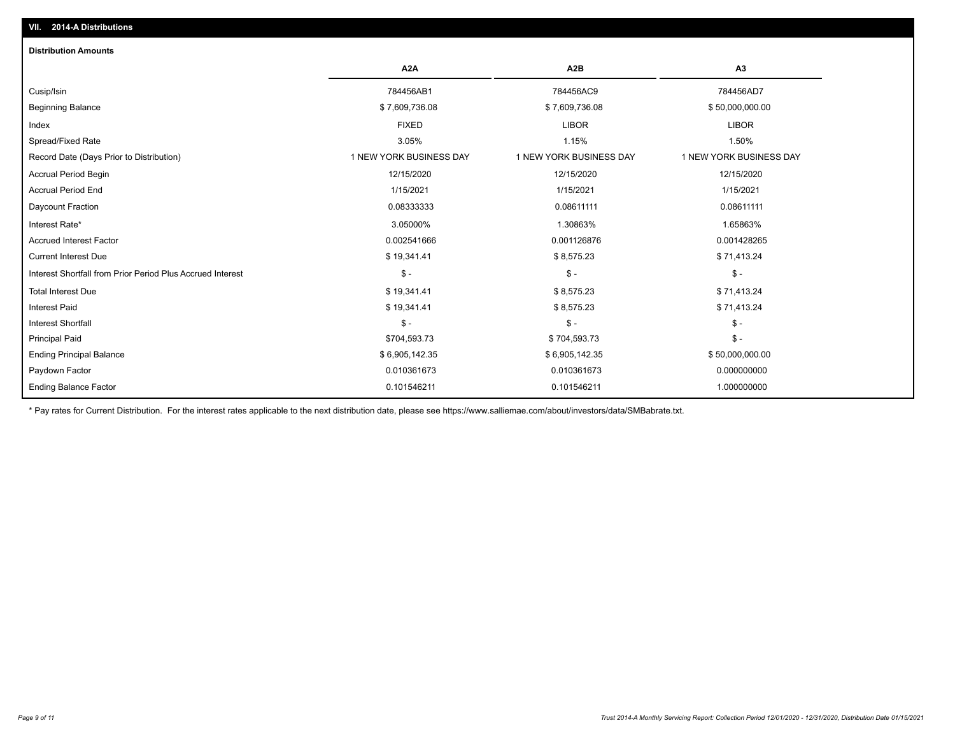| <b>Distribution Amounts</b>                                |                         |                         |                         |
|------------------------------------------------------------|-------------------------|-------------------------|-------------------------|
|                                                            | A <sub>2</sub> A        | A <sub>2</sub> B        | A <sub>3</sub>          |
| Cusip/Isin                                                 | 784456AB1               | 784456AC9               | 784456AD7               |
| <b>Beginning Balance</b>                                   | \$7,609,736.08          | \$7,609,736.08          | \$50,000,000.00         |
| Index                                                      | <b>FIXED</b>            | <b>LIBOR</b>            | <b>LIBOR</b>            |
| Spread/Fixed Rate                                          | 3.05%                   | 1.15%                   | 1.50%                   |
| Record Date (Days Prior to Distribution)                   | 1 NEW YORK BUSINESS DAY | 1 NEW YORK BUSINESS DAY | 1 NEW YORK BUSINESS DAY |
| <b>Accrual Period Begin</b>                                | 12/15/2020              | 12/15/2020              | 12/15/2020              |
| <b>Accrual Period End</b>                                  | 1/15/2021               | 1/15/2021               | 1/15/2021               |
| Daycount Fraction                                          | 0.08333333              | 0.08611111              | 0.08611111              |
| Interest Rate*                                             | 3.05000%                | 1.30863%                | 1.65863%                |
| <b>Accrued Interest Factor</b>                             | 0.002541666             | 0.001126876             | 0.001428265             |
| <b>Current Interest Due</b>                                | \$19,341.41             | \$8,575.23              | \$71,413.24             |
| Interest Shortfall from Prior Period Plus Accrued Interest | $\mathsf{\$}$ -         | $\mathsf{\$}$ -         | $\mathsf{\$}$ -         |
| <b>Total Interest Due</b>                                  | \$19,341.41             | \$8,575.23              | \$71,413.24             |
| <b>Interest Paid</b>                                       | \$19,341.41             | \$8,575.23              | \$71,413.24             |
| Interest Shortfall                                         | $\mathcal{S}$ -         | $\mathsf{\$}$ -         | $\frac{1}{2}$ -         |
| <b>Principal Paid</b>                                      | \$704,593.73            | \$704,593.73            | $$ -$                   |
| <b>Ending Principal Balance</b>                            | \$6,905,142.35          | \$6,905,142.35          | \$50,000,000.00         |
| Paydown Factor                                             | 0.010361673             | 0.010361673             | 0.000000000             |
| <b>Ending Balance Factor</b>                               | 0.101546211             | 0.101546211             | 1.000000000             |

\* Pay rates for Current Distribution. For the interest rates applicable to the next distribution date, please see https://www.salliemae.com/about/investors/data/SMBabrate.txt.

**VII. 2014-A Distributions**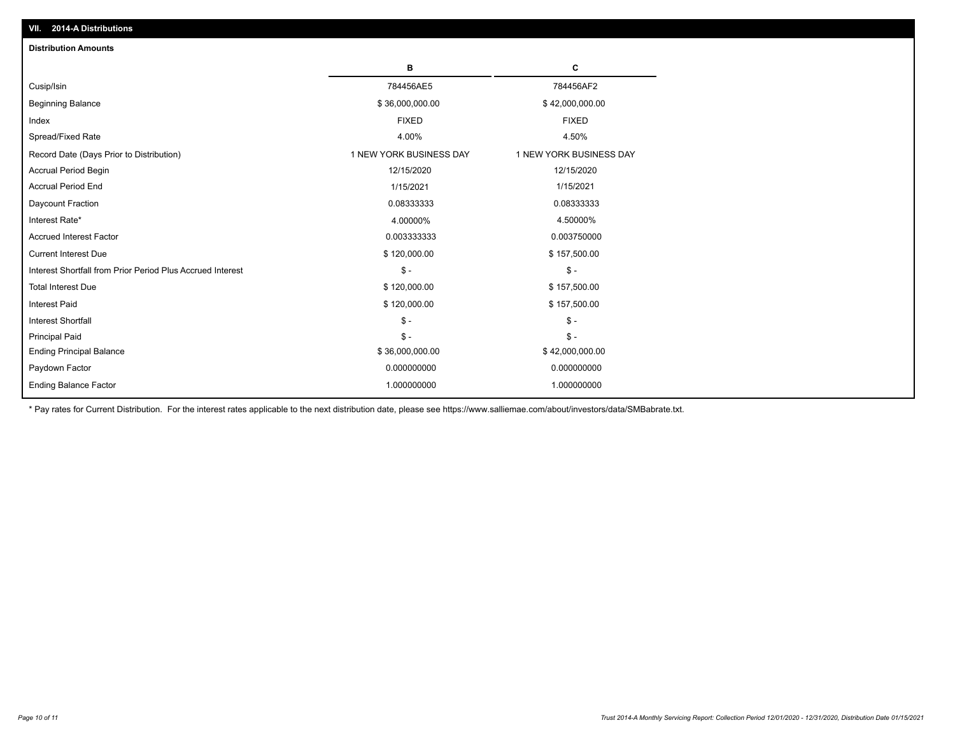| <b>Distribution Amounts</b>                                |                         |                         |
|------------------------------------------------------------|-------------------------|-------------------------|
|                                                            | в                       | C                       |
| Cusip/Isin                                                 | 784456AE5               | 784456AF2               |
| <b>Beginning Balance</b>                                   | \$36,000,000.00         | \$42,000,000.00         |
| Index                                                      | <b>FIXED</b>            | <b>FIXED</b>            |
| Spread/Fixed Rate                                          | 4.00%                   | 4.50%                   |
| Record Date (Days Prior to Distribution)                   | 1 NEW YORK BUSINESS DAY | 1 NEW YORK BUSINESS DAY |
| <b>Accrual Period Begin</b>                                | 12/15/2020              | 12/15/2020              |
| <b>Accrual Period End</b>                                  | 1/15/2021               | 1/15/2021               |
| Daycount Fraction                                          | 0.08333333              | 0.08333333              |
| Interest Rate*                                             | 4.00000%                | 4.50000%                |
| <b>Accrued Interest Factor</b>                             | 0.003333333             | 0.003750000             |
| <b>Current Interest Due</b>                                | \$120,000.00            | \$157,500.00            |
| Interest Shortfall from Prior Period Plus Accrued Interest | $\mathcal{S}$ -         | $\mathsf{\$}$ -         |
| <b>Total Interest Due</b>                                  | \$120,000.00            | \$157,500.00            |
| <b>Interest Paid</b>                                       | \$120,000.00            | \$157,500.00            |
| <b>Interest Shortfall</b>                                  | $\mathcal{S}$ -         | $\mathcal{S}$ -         |
| <b>Principal Paid</b>                                      | $\mathbb{S}$ -          | $\mathsf{\$}$ -         |
| <b>Ending Principal Balance</b>                            | \$36,000,000.00         | \$42,000,000.00         |
| Paydown Factor                                             | 0.000000000             | 0.000000000             |
| <b>Ending Balance Factor</b>                               | 1.000000000             | 1.000000000             |

\* Pay rates for Current Distribution. For the interest rates applicable to the next distribution date, please see https://www.salliemae.com/about/investors/data/SMBabrate.txt.

**VII. 2014-A Distributions**